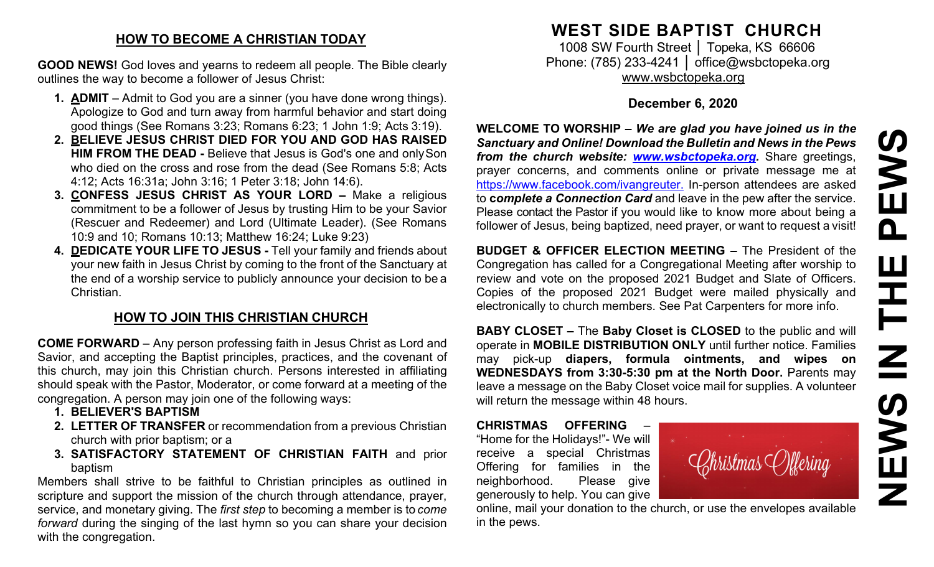#### **HOW TO BECOME A CHRISTIAN TODAY**

**GOOD NEWS!** God loves and yearns to redeem all people. The Bible clearly outlines the way to become a follower of Jesus Christ:

- **1. ADMIT**  Admit to God you are a sinner (you have done wrong things). Apologize to God and turn away from harmful behavior and start doing good things (See Romans 3:23; Romans 6:23; 1 John 1:9; Acts 3:19).
- **2. BELIEVE JESUS CHRIST DIED FOR YOU AND GOD HAS RAISED HIM FROM THE DEAD -** Believe that Jesus is God's one and onlySon who died on the cross and rose from the dead (See Romans 5:8; Acts 4:12; Acts 16:31a; John 3:16; 1 Peter 3:18; John 14:6).
- **3. CONFESS JESUS CHRIST AS YOUR LORD –** Make a religious commitment to be a follower of Jesus by trusting Him to be your Savior (Rescuer and Redeemer) and Lord (Ultimate Leader). (See Romans 10:9 and 10; Romans 10:13; Matthew 16:24; Luke 9:23)
- **4. DEDICATE YOUR LIFE TO JESUS -** Tell your family and friends about your new faith in Jesus Christ by coming to the front of the Sanctuary at the end of a worship service to publicly announce your decision to be a Christian.

# **HOW TO JOIN THIS CHRISTIAN CHURCH**

**COME FORWARD** – Any person professing faith in Jesus Christ as Lord and Savior, and accepting the Baptist principles, practices, and the covenant of this church, may join this Christian church. Persons interested in affiliating should speak with the Pastor, Moderator, or come forward at a meeting of the congregation. A person may join one of the following ways:

- **1. BELIEVER'S BAPTISM**
- **2. LETTER OF TRANSFER** or recommendation from a previous Christian church with prior baptism; or a
- **3. SATISFACTORY STATEMENT OF CHRISTIAN FAITH** and prior baptism

Members shall strive to be faithful to Christian principles as outlined in scripture and support the mission of the church through attendance, prayer, service, and monetary giving. The *first step* to becoming a member is to *come forward* during the singing of the last hymn so you can share your decision with the congregation.

# **WEST SIDE BAPTIST CHURCH**

1008 SW Fourth Street | Topeka, KS 66606 Phone: (785) 233-4241 │ [office@wsbctopeka.org](mailto:office@wsbctopeka.org) [www.wsbctopeka.org](http://www.wsbctopeka.org/)

## **December 6, 2020**

**WELCOME TO WORSHIP –** *We are glad you have joined us in the Sanctuary and Online! Download the Bulletin and News in the Pews from the church website: [www.wsbctopeka.org.](http://www.wsbctopeka.org/)* Share greetings, prayer concerns, and comments online or private message me at <https://www.facebook.com/ivangreuter.> In-person attendees are asked to **c***omplete a Connection Card* and leave in the pew after the service. Please contact the Pastor if you would like to know more about being a follower of Jesus, being baptized, need prayer, or want to request a visit!

**BUDGET & OFFICER ELECTION MEETING –** The President of the Congregation has called for a Congregational Meeting after worship to review and vote on the proposed 2021 Budget and Slate of Officers. Copies of the proposed 2021 Budget were mailed physically and electronically to church members. See Pat Carpenters for more info.

**BABY CLOSET –** The **Baby Closet is CLOSED** to the public and will operate in **MOBILE DISTRIBUTION ONLY** until further notice. Families may pick-up **diapers, formula ointments, and wipes on WEDNESDAYS from 3:30-5:30 pm at the North Door.** Parents may leave a message on the Baby Closet voice mail for supplies. A volunteer will return the message within 48 hours.

**CHRISTMAS OFFERING** – "Home for the Holidays!"- We will receive a special Christmas Offering for families in the neighborhood. Please give generously to help. You can give



online, mail your donation to the church, or use the envelopes available in the pews.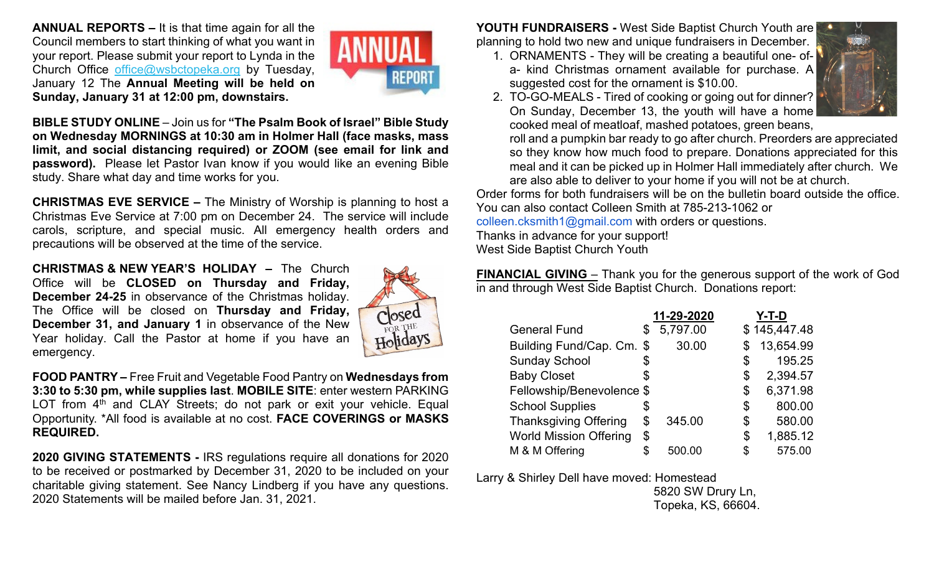**ANNUAL REPORTS –** It is that time again for all the Council members to start thinking of what you want in your report. Please submit your report to Lynda in the Church Office [office@wsbctopeka.org](mailto:office@wsbctopeka.org) by Tuesday, January 12 The **Annual Meeting will be held on Sunday, January 31 at 12:00 pm, downstairs.** 



**BIBLE STUDY ONLINE** – Join us for **"The Psalm Book of Israel" Bible Study on Wednesday MORNINGS at 10:30 am in Holmer Hall (face masks, mass limit, and social distancing required) or ZOOM (see email for link and password).** Please let Pastor Ivan know if you would like an evening Bible study. Share what day and time works for you.

**CHRISTMAS EVE SERVICE –** The Ministry of Worship is planning to host a Christmas Eve Service at 7:00 pm on December 24. The service will include carols, scripture, and special music. All emergency health orders and precautions will be observed at the time of the service.

**CHRISTMAS & NEW YEAR'S HOLIDAY –** The Church Office will be **CLOSED on Thursday and Friday, December 24-25** in observance of the Christmas holiday. The Office will be closed on **Thursday and Friday, December 31, and January 1** in observance of the New Year holiday. Call the Pastor at home if you have an emergency.



**FOOD PANTRY –** Free Fruit and Vegetable Food Pantry on **Wednesdays from 3:30 to 5:30 pm, while supplies last**. **MOBILE SITE**: enter western PARKING LOT from  $4<sup>th</sup>$  and CLAY Streets; do not park or exit your vehicle. Equal Opportunity. \*All food is available at no cost. **FACE COVERINGS or MASKS REQUIRED.**

**2020 GIVING STATEMENTS -** IRS regulations require all donations for 2020 to be received or postmarked by December 31, 2020 to be included on your charitable giving statement. See Nancy Lindberg if you have any questions. 2020 Statements will be mailed before Jan. 31, 2021.

**YOUTH FUNDRAISERS -** West Side Baptist Church Youth are planning to hold two new and unique fundraisers in December.

1. ORNAMENTS - They will be creating a beautiful one- ofa- kind Christmas ornament available for purchase. A suggested cost for the ornament is \$10.00.



2. TO-GO-MEALS - Tired of cooking or going out for dinner? On Sunday, December 13, the youth will have a home cooked meal of meatloaf, mashed potatoes, green beans,

roll and a pumpkin bar ready to go after church. Preorders are appreciated so they know how much food to prepare. Donations appreciated for this meal and it can be picked up in Holmer Hall immediately after church. We are also able to deliver to your home if you will not be at church.

Order forms for both fundraisers will be on the bulletin board outside the office. You can also contact Colleen Smith at 785-213-1062 or colleen.cksmith1@gmail.com with orders or questions.

Thanks in advance for your support!

West Side Baptist Church Youth

**FINANCIAL GIVING** – Thank you for the generous support of the work of God in and through West Side Baptist Church. Donations report:

|                               | 11-29-2020     | Y-T-D          |
|-------------------------------|----------------|----------------|
| <b>General Fund</b>           | \$<br>5,797.00 | \$145,447.48   |
| Building Fund/Cap. Cm. \$     | 30.00          | 13,654.99      |
| <b>Sunday School</b>          | \$             | \$<br>195.25   |
| <b>Baby Closet</b>            | \$             | \$<br>2,394.57 |
| Fellowship/Benevolence \$     |                | \$<br>6,371.98 |
| <b>School Supplies</b>        | \$             | \$<br>800.00   |
| <b>Thanksgiving Offering</b>  | \$<br>345.00   | \$<br>580.00   |
| <b>World Mission Offering</b> | \$             | \$<br>1,885.12 |
| M & M Offering                | \$<br>500.00   | \$<br>575.00   |

Larry & Shirley Dell have moved: Homestead

 5820 SW Drury Ln, Topeka, KS, 66604.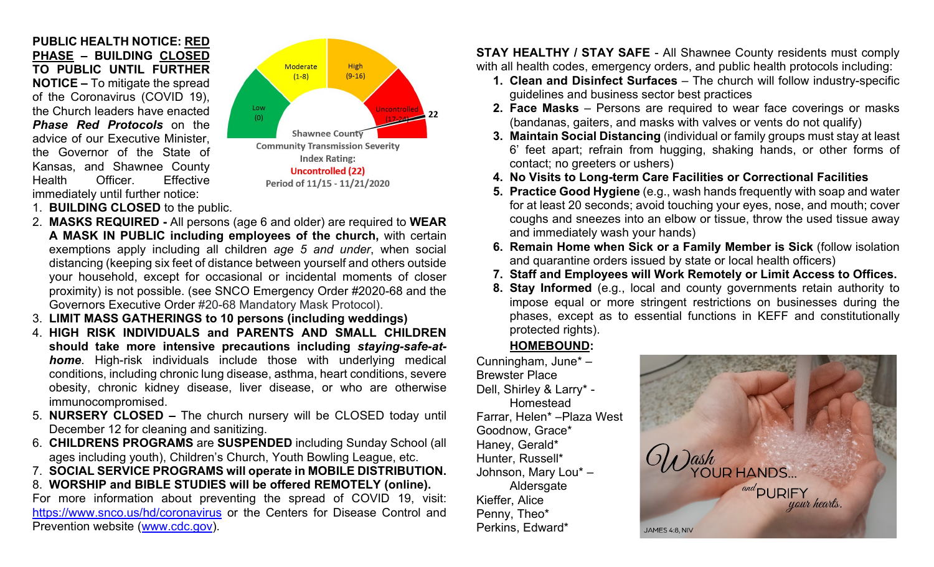**PUBLIC HEALTH NOTICE: RED PHASE – BUILDING CLOSED TO PUBLIC UNTIL FURTHER NOTICE –** To mitigate the spread of the Coronavirus (COVID 19), the Church leaders have enacted *Phase Red Protocols* on the advice of our Executive Minister, the Governor of the State of Kansas, and Shawnee County Health Officer. Effective immediately until further notice:



- 1. **BUILDING CLOSED** to the public.
- 2. **MASKS REQUIRED -** All persons (age 6 and older) are required to **WEAR A MASK IN PUBLIC including employees of the church,** with certain exemptions apply including all children *age 5 and under*, when social distancing (keeping six feet of distance between yourself and others outside your household, except for occasional or incidental moments of closer proximity) is not possible. (see SNCO Emergency Order #2020-68 and the Governors Executive Order #20-68 Mandatory Mask Protocol).
- 3. **LIMIT MASS GATHERINGS to 10 persons (including weddings)**
- 4. **HIGH RISK INDIVIDUALS and PARENTS AND SMALL CHILDREN should take more intensive precautions including** *staying-safe-athome*. High-risk individuals include those with underlying medical conditions, including chronic lung disease, asthma, heart conditions, severe obesity, chronic kidney disease, liver disease, or who are otherwise immunocompromised.
- 5. **NURSERY CLOSED –** The church nursery will be CLOSED today until December 12 for cleaning and sanitizing.
- 6. **CHILDRENS PROGRAMS** are **SUSPENDED** including Sunday School (all ages including youth), Children's Church, Youth Bowling League, etc.
- 7. **SOCIAL SERVICE PROGRAMS will operate in MOBILE DISTRIBUTION.**
- 8. **WORSHIP and BIBLE STUDIES will be offered REMOTELY (online).**

For more information about preventing the spread of COVID 19, visit: <https://www.snco.us/hd/coronavirus> or the Centers for Disease Control and Prevention website [\(www.cdc.gov\)](http://www.cdc.gov/).

**STAY HEALTHY / STAY SAFE** - All Shawnee County residents must comply with all health codes, emergency orders, and public health protocols including:

- **1. Clean and Disinfect Surfaces** The church will follow industry-specific guidelines and business sector best practices
- **2. Face Masks** Persons are required to wear face coverings or masks (bandanas, gaiters, and masks with valves or vents do not qualify)
- **3. Maintain Social Distancing** (individual or family groups must stay at least 6' feet apart; refrain from hugging, shaking hands, or other forms of contact; no greeters or ushers)
- **4. No Visits to Long-term Care Facilities or Correctional Facilities**
- **5. Practice Good Hygiene** (e.g., wash hands frequently with soap and water for at least 20 seconds; avoid touching your eyes, nose, and mouth; cover coughs and sneezes into an elbow or tissue, throw the used tissue away and immediately wash your hands)
- **6. Remain Home when Sick or a Family Member is Sick** (follow isolation and quarantine orders issued by state or local health officers)
- **7. Staff and Employees will Work Remotely or Limit Access to Offices.**
- **8. Stay Informed** (e.g., local and county governments retain authority to impose equal or more stringent restrictions on businesses during the phases, except as to essential functions in KEFF and constitutionally protected rights).

### **HOMEBOUND:**

Cunningham, June\* – Brewster Place Dell, Shirley & Larry\* - Homestead Farrar, Helen\* –Plaza West Goodnow, Grace\* Haney, Gerald\* Hunter, Russell\* Johnson, Mary Lou\* – **Aldersgate** Kieffer, Alice Penny, Theo\* Perkins, Edward\*